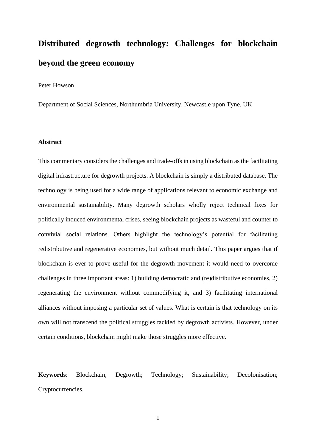# **Distributed degrowth technology: Challenges for blockchain beyond the green economy**

Peter Howson

Department of Social Sciences, Northumbria University, Newcastle upon Tyne, UK

### **Abstract**

This commentary considers the challenges and trade-offs in using blockchain as the facilitating digital infrastructure for degrowth projects. A blockchain is simply a distributed database. The technology is being used for a wide range of applications relevant to economic exchange and environmental sustainability. Many degrowth scholars wholly reject technical fixes for politically induced environmental crises, seeing blockchain projects as wasteful and counter to convivial social relations. Others highlight the technology's potential for facilitating redistributive and regenerative economies, but without much detail. This paper argues that if blockchain is ever to prove useful for the degrowth movement it would need to overcome challenges in three important areas: 1) building democratic and (re)distributive economies, 2) regenerating the environment without commodifying it, and 3) facilitating international alliances without imposing a particular set of values. What is certain is that technology on its own will not transcend the political struggles tackled by degrowth activists. However, under certain conditions, blockchain might make those struggles more effective.

**Keywords**: Blockchain; Degrowth; Technology; Sustainability; Decolonisation; Cryptocurrencies.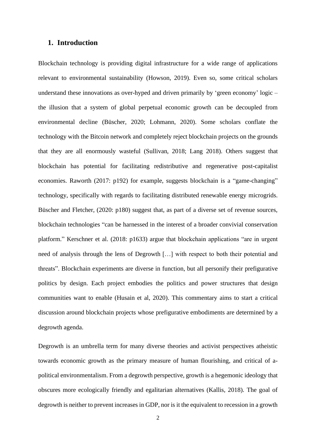### **1. Introduction**

Blockchain technology is providing digital infrastructure for a wide range of applications relevant to environmental sustainability (Howson, 2019). Even so, some critical scholars understand these innovations as over-hyped and driven primarily by 'green economy' logic – the illusion that a system of global perpetual economic growth can be decoupled from environmental decline (Büscher, 2020; Lohmann, 2020). Some scholars conflate the technology with the Bitcoin network and completely reject blockchain projects on the grounds that they are all enormously wasteful (Sullivan, 2018; Lang 2018). Others suggest that blockchain has potential for facilitating redistributive and regenerative post-capitalist economies. Raworth (2017: p192) for example, suggests blockchain is a "game-changing" technology, specifically with regards to facilitating distributed renewable energy microgrids. Büscher and Fletcher, (2020: p180) suggest that, as part of a diverse set of revenue sources, blockchain technologies "can be harnessed in the interest of a broader convivial conservation platform." Kerschner et al. (2018: p1633) argue that blockchain applications "are in urgent need of analysis through the lens of Degrowth […] with respect to both their potential and threats". Blockchain experiments are diverse in function, but all personify their prefigurative politics by design. Each project embodies the politics and power structures that design communities want to enable (Husain et al, 2020). This commentary aims to start a critical discussion around blockchain projects whose prefigurative embodiments are determined by a degrowth agenda.

Degrowth is an umbrella term for many diverse theories and activist perspectives atheistic towards economic growth as the primary measure of human flourishing, and critical of apolitical environmentalism. From a degrowth perspective, growth is a hegemonic ideology that obscures more ecologically friendly and egalitarian alternatives (Kallis, 2018). The goal of degrowth is neither to prevent increases in GDP, nor is it the equivalent to recession in a growth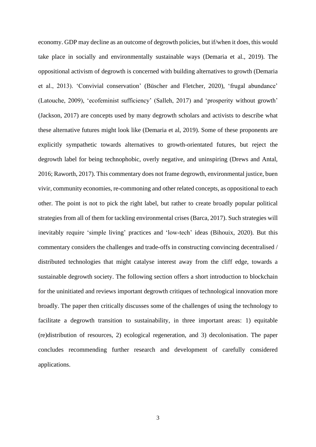economy. GDP may decline as an outcome of degrowth policies, but if/when it does, this would take place in socially and environmentally sustainable ways (Demaria et al., 2019). The oppositional activism of degrowth is concerned with building alternatives to growth (Demaria et al., 2013). 'Convivial conservation' (Büscher and Fletcher, 2020), 'frugal abundance' (Latouche, 2009), 'ecofeminist sufficiency' (Salleh, 2017) and 'prosperity without growth' (Jackson, 2017) are concepts used by many degrowth scholars and activists to describe what these alternative futures might look like (Demaria et al, 2019). Some of these proponents are explicitly sympathetic towards alternatives to growth-orientated futures, but reject the degrowth label for being technophobic, overly negative, and uninspiring (Drews and Antal, 2016; Raworth, 2017). This commentary does not frame degrowth, environmental justice, buen vivir, community economies, re-commoning and other related concepts, as oppositional to each other. The point is not to pick the right label, but rather to create broadly popular political strategies from all of them for tackling environmental crises (Barca, 2017). Such strategies will inevitably require 'simple living' practices and 'low-tech' ideas (Bihouix, 2020). But this commentary considers the challenges and trade-offs in constructing convincing decentralised / distributed technologies that might catalyse interest away from the cliff edge, towards a sustainable degrowth society. The following section offers a short introduction to blockchain for the uninitiated and reviews important degrowth critiques of technological innovation more broadly. The paper then critically discusses some of the challenges of using the technology to facilitate a degrowth transition to sustainability, in three important areas: 1) equitable (re)distribution of resources, 2) ecological regeneration, and 3) decolonisation. The paper concludes recommending further research and development of carefully considered applications.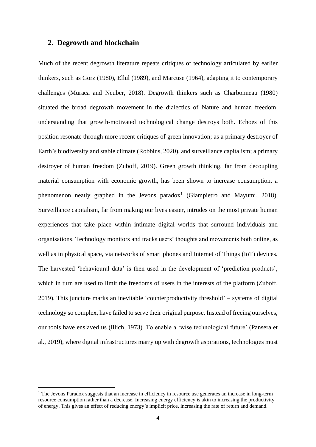### **2. Degrowth and blockchain**

Much of the recent degrowth literature repeats critiques of technology articulated by earlier thinkers, such as Gorz (1980), Ellul (1989), and Marcuse (1964), adapting it to contemporary challenges (Muraca and Neuber, 2018). Degrowth thinkers such as Charbonneau (1980) situated the broad degrowth movement in the dialectics of Nature and human freedom, understanding that growth-motivated technological change destroys both. Echoes of this position resonate through more recent critiques of green innovation; as a primary destroyer of Earth's biodiversity and stable climate (Robbins, 2020), and surveillance capitalism; a primary destroyer of human freedom (Zuboff, 2019). Green growth thinking, far from decoupling material consumption with economic growth, has been shown to increase consumption, a phenomenon neatly graphed in the Jevons paradox<sup>1</sup> (Giampietro and Mayumi, 2018). Surveillance capitalism, far from making our lives easier, intrudes on the most private human experiences that take place within intimate digital worlds that surround individuals and organisations. Technology monitors and tracks users' thoughts and movements both online, as well as in physical space, via networks of smart phones and Internet of Things (IoT) devices. The harvested 'behavioural data' is then used in the development of 'prediction products', which in turn are used to limit the freedoms of users in the interests of the platform (Zuboff, 2019). This juncture marks an inevitable 'counterproductivity threshold' – systems of digital technology so complex, have failed to serve their original purpose. Instead of freeing ourselves, our tools have enslaved us (Illich, 1973). To enable a 'wise technological future' (Pansera et al., 2019), where digital infrastructures marry up with degrowth aspirations, technologies must

<sup>&</sup>lt;sup>1</sup> The Jevons Paradox suggests that an increase in efficiency in resource use generates an increase in long-term resource consumption rather than a decrease. Increasing energy efficiency is akin to increasing the productivity of energy. This gives an effect of reducing energy's implicit price, increasing the rate of return and demand.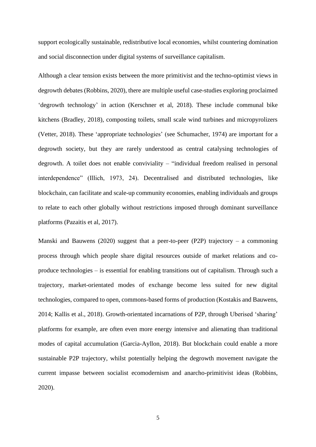support ecologically sustainable, redistributive local economies, whilst countering domination and social disconnection under digital systems of surveillance capitalism.

Although a clear tension exists between the more primitivist and the techno-optimist views in degrowth debates (Robbins, 2020), there are multiple useful case-studies exploring proclaimed 'degrowth technology' in action (Kerschner et al, 2018). These include communal bike kitchens (Bradley, 2018), composting toilets, small scale wind turbines and micropyrolizers (Vetter, 2018). These 'appropriate technologies' (see Schumacher, 1974) are important for a degrowth society, but they are rarely understood as central catalysing technologies of degrowth. A toilet does not enable conviviality – "individual freedom realised in personal interdependence" (Illich, 1973, 24). Decentralised and distributed technologies, like blockchain, can facilitate and scale-up community economies, enabling individuals and groups to relate to each other globally without restrictions imposed through dominant surveillance platforms (Pazaitis et al, 2017).

Manski and Bauwens (2020) suggest that a peer-to-peer (P2P) trajectory – a commoning process through which people share digital resources outside of market relations and coproduce technologies – is essential for enabling transitions out of capitalism. Through such a trajectory, market-orientated modes of exchange become less suited for new digital technologies, compared to open, commons-based forms of production (Kostakis and Bauwens, 2014; Kallis et al., 2018). Growth-orientated incarnations of P2P, through Uberised 'sharing' platforms for example, are often even more energy intensive and alienating than traditional modes of capital accumulation (Garcia-Ayllon, 2018). But blockchain could enable a more sustainable P2P trajectory, whilst potentially helping the degrowth movement navigate the current impasse between socialist ecomodernism and anarcho-primitivist ideas (Robbins, 2020).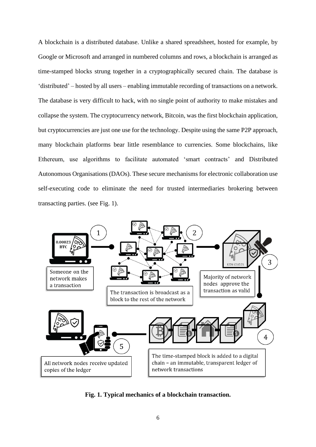A blockchain is a distributed database. Unlike a shared spreadsheet, hosted for example, by Google or Microsoft and arranged in numbered columns and rows, a blockchain is arranged as time-stamped blocks strung together in a cryptographically secured chain. The database is 'distributed' – hosted by all users – enabling immutable recording of transactions on a network. The database is very difficult to hack, with no single point of authority to make mistakes and collapse the system. The cryptocurrency network, Bitcoin, was the first blockchain application, but cryptocurrencies are just one use for the technology. Despite using the same P2P approach, many blockchain platforms bear little resemblance to currencies. Some blockchains, like Ethereum, use algorithms to facilitate automated 'smart contracts' and Distributed Autonomous Organisations (DAOs). These secure mechanisms for electronic collaboration use self-executing code to eliminate the need for trusted intermediaries brokering between transacting parties. (see Fig. 1).



**Fig. 1. Typical mechanics of a blockchain transaction.**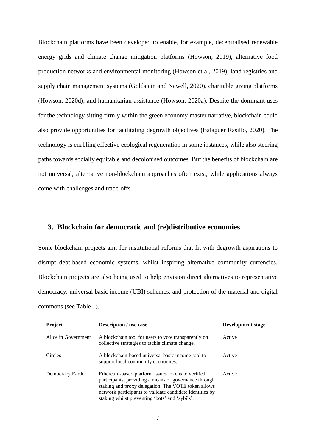Blockchain platforms have been developed to enable, for example, decentralised renewable energy grids and climate change mitigation platforms (Howson, 2019), alternative food production networks and environmental monitoring (Howson et al, 2019), land registries and supply chain management systems (Goldstein and Newell, 2020), charitable giving platforms (Howson, 2020d), and humanitarian assistance (Howson, 2020a). Despite the dominant uses for the technology sitting firmly within the green economy master narrative, blockchain could also provide opportunities for facilitating degrowth objectives (Balaguer Rasillo, 2020). The technology is enabling effective ecological regeneration in some instances, while also steering paths towards socially equitable and decolonised outcomes. But the benefits of blockchain are not universal, alternative non-blockchain approaches often exist, while applications always come with challenges and trade-offs.

# **3. Blockchain for democratic and (re)distributive economies**

Some blockchain projects aim for institutional reforms that fit with degrowth aspirations to disrupt debt-based economic systems, whilst inspiring alternative community currencies. Blockchain projects are also being used to help envision direct alternatives to representative democracy, universal basic income (UBI) schemes, and protection of the material and digital commons (see Table 1).

| <b>Project</b>      | <b>Description</b> / use case                                                                                                                                                                                                                                                   | Development stage |
|---------------------|---------------------------------------------------------------------------------------------------------------------------------------------------------------------------------------------------------------------------------------------------------------------------------|-------------------|
| Alice in Government | A blockchain tool for users to vote transparently on<br>collective strategies to tackle climate change.                                                                                                                                                                         | Active            |
| Circles             | A blockchain-based universal basic income tool to<br>support local community economies.                                                                                                                                                                                         | Active            |
| Democracy.Earth     | Ethereum-based platform issues tokens to verified<br>participants, providing a means of governance through<br>staking and proxy delegation. The VOTE token allows<br>network participants to validate candidate identities by<br>staking whilst preventing 'bots' and 'sybils'. | Active            |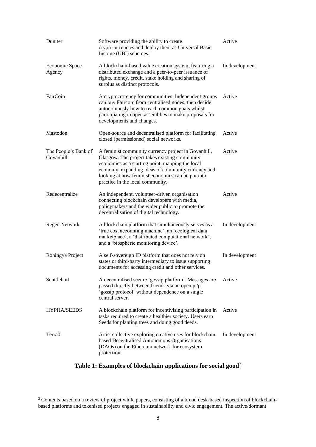| Duniter                           | Software providing the ability to create<br>cryptocurrencies and deploy them as Universal Basic<br>Income (UBI) schemes.                                                                                                                                                                                | Active         |
|-----------------------------------|---------------------------------------------------------------------------------------------------------------------------------------------------------------------------------------------------------------------------------------------------------------------------------------------------------|----------------|
| Economic Space<br>Agency          | A blockchain-based value creation system, featuring a<br>distributed exchange and a peer-to-peer issuance of<br>rights, money, credit, stake holding and sharing of<br>surplus as distinct protocols.                                                                                                   | In development |
| FairCoin                          | A cryptocurrency for communities. Independent groups<br>can buy Faircoin from centralised nodes, then decide<br>autonomously how to reach common goals whilst<br>participating in open assemblies to make proposals for<br>developments and changes.                                                    | Active         |
| Mastodon                          | Open-source and decentralised platform for facilitating<br>closed (permissioned) social networks.                                                                                                                                                                                                       | Active         |
| The People's Bank of<br>Govanhill | A feminist community currency project in Govanhill,<br>Glasgow. The project takes existing community<br>economies as a starting point, mapping the local<br>economy, expanding ideas of community currency and<br>looking at how feminist economics can be put into<br>practice in the local community. | Active         |
| Redecentralize                    | An independent, volunteer-driven organisation<br>connecting blockchain developers with media,<br>policymakers and the wider public to promote the<br>decentralisation of digital technology.                                                                                                            | Active         |
| Regen.Network                     | A blockchain platform that simultaneously serves as a<br>'true cost accounting machine', an 'ecological data<br>marketplace', a 'distributed computational network',<br>and a 'biospheric monitoring device'.                                                                                           | In development |
| Rohingya Project                  | A self-sovereign ID platform that does not rely on<br>states or third-party intermediary to issue supporting<br>documents for accessing credit and other services.                                                                                                                                      | In development |
| Scuttlebutt                       | A decentralised secure 'gossip platform'. Messages are<br>passed directly between friends via an open p2p<br>'gossip protocol' without dependence on a single<br>central server.                                                                                                                        | Active         |
| <b>HYPHA/SEEDS</b>                | A blockchain platform for incentivising participation in<br>tasks required to create a healthier society. Users earn<br>Seeds for planting trees and doing good deeds.                                                                                                                                  | Active         |
| Terra <sub>0</sub>                | Artist collective exploring creative uses for blockchain-<br>based Decentralised Autonomous Organisations<br>(DAOs) on the Ethereum network for ecosystem<br>protection.                                                                                                                                | In development |

# **Table 1: Examples of blockchain applications for social good**<sup>2</sup>

 $2^2$  Contents based on a review of project white papers, consisting of a broad desk-based inspection of blockchainbased platforms and tokenised projects engaged in sustainability and civic engagement. The active/dormant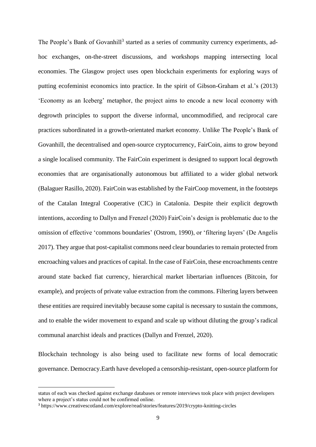The People's Bank of Govanhill<sup>3</sup> started as a series of community currency experiments, adhoc exchanges, on-the-street discussions, and workshops mapping intersecting local economies. The Glasgow project uses open blockchain experiments for exploring ways of putting ecofeminist economics into practice. In the spirit of Gibson-Graham et al.'s (2013) 'Economy as an Iceberg' metaphor, the project aims to encode a new local economy with degrowth principles to support the diverse informal, uncommodified, and reciprocal care practices subordinated in a growth-orientated market economy. Unlike The People's Bank of Govanhill, the decentralised and open-source cryptocurrency, FairCoin, aims to grow beyond a single localised community. The FairCoin experiment is designed to support local degrowth economies that are organisationally autonomous but affiliated to a wider global network (Balaguer Rasillo, 2020). FairCoin was established by the FairCoop movement, in the footsteps of the Catalan Integral Cooperative (CIC) in Catalonia. Despite their explicit degrowth intentions, according to Dallyn and Frenzel (2020) FairCoin's design is problematic due to the omission of effective 'commons boundaries' (Ostrom, 1990), or 'filtering layers' (De Angelis 2017). They argue that post-capitalist commons need clear boundaries to remain protected from encroaching values and practices of capital. In the case of FairCoin, these encroachments centre around state backed fiat currency, hierarchical market libertarian influences (Bitcoin, for example), and projects of private value extraction from the commons. Filtering layers between these entities are required inevitably because some capital is necessary to sustain the commons, and to enable the wider movement to expand and scale up without diluting the group's radical communal anarchist ideals and practices (Dallyn and Frenzel, 2020).

Blockchain technology is also being used to facilitate new forms of local democratic governance. Democracy.Earth have developed a censorship-resistant, open-source platform for

status of each was checked against exchange databases or remote interviews took place with project developers where a project's status could not be confirmed online.

<sup>3</sup> https://www.creativescotland.com/explore/read/stories/features/2019/crypto-knitting-circles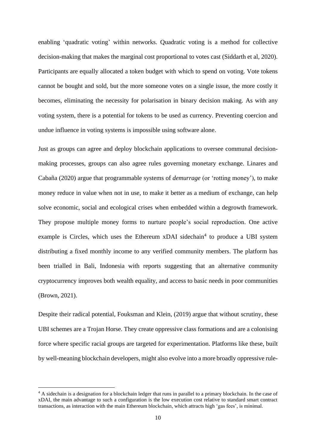enabling 'quadratic voting' within networks. Quadratic voting is a method for collective decision-making that makes the marginal cost proportional to votes cast (Siddarth et al, 2020). Participants are equally allocated a token budget with which to spend on voting. Vote tokens cannot be bought and sold, but the more someone votes on a single issue, the more costly it becomes, eliminating the necessity for polarisation in binary decision making. As with any voting system, there is a potential for tokens to be used as currency. Preventing coercion and undue influence in voting systems is impossible using software alone.

Just as groups can agree and deploy blockchain applications to oversee communal decisionmaking processes, groups can also agree rules governing monetary exchange. Linares and Cabaña (2020) argue that programmable systems of *demurrage* (or 'rotting money'), to make money reduce in value when not in use, to make it better as a medium of exchange, can help solve economic, social and ecological crises when embedded within a degrowth framework. They propose multiple money forms to nurture people's social reproduction. One active example is Circles, which uses the Ethereum  $xDAI$  sidechain<sup>4</sup> to produce a UBI system distributing a fixed monthly income to any verified community members. The platform has been trialled in Bali, Indonesia with reports suggesting that an alternative community cryptocurrency improves both wealth equality, and access to basic needs in poor communities (Brown, 2021).

Despite their radical potential, Fouksman and Klein, (2019) argue that without scrutiny, these UBI schemes are a Trojan Horse. They create oppressive class formations and are a colonising force where specific racial groups are targeted for experimentation. Platforms like these, built by well-meaning blockchain developers, might also evolve into a more broadly oppressive rule-

<sup>&</sup>lt;sup>4</sup> A sidechain is a designation for a blockchain ledger that runs in parallel to a primary blockchain. In the case of xDAI, the main advantage to such a configuration is the low execution cost relative to standard smart contract transactions, as interaction with the main Ethereum blockchain, which attracts high 'gas fees', is minimal.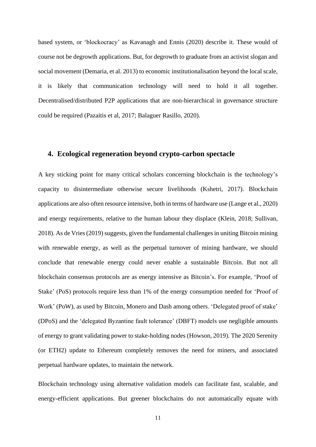based system, or 'blockocracy' as Kavanagh and Ennis (2020) describe it. These would of course not be degrowth applications. But, for degrowth to graduate from an activist slogan and social movement (Demaria, et al. 2013) to economic institutionalisation beyond the local scale, it is likely that communication technology will need to hold it all together. Decentralised/distributed P2P applications that are non-hierarchical in governance structure could be required (Pazaitis et al, 2017; Balaguer Rasillo, 2020).

# **4. Ecological regeneration beyond crypto-carbon spectacle**

A key sticking point for many critical scholars concerning blockchain is the technology's capacity to disintermediate otherwise secure livelihoods (Kshetri, 2017). Blockchain applications are also often resource intensive, both in terms of hardware use (Lange et al., 2020) and energy requirements, relative to the human labour they displace (Klein, 2018; Sullivan, 2018). As de Vries (2019) suggests, given the fundamental challenges in uniting Bitcoin mining with renewable energy, as well as the perpetual turnover of mining hardware, we should conclude that renewable energy could never enable a sustainable Bitcoin. But not all blockchain consensus protocols are as energy intensive as Bitcoin's. For example, 'Proof of Stake' (PoS) protocols require less than 1% of the energy consumption needed for 'Proof of Work' (PoW), as used by Bitcoin, Monero and Dash among others. 'Delegated proof of stake' (DPoS) and the 'delegated Byzantine fault tolerance' (DBFT) models use negligible amounts of energy to grant validating power to stake-holding nodes (Howson, 2019). The 2020 Serenity (or ETH2) update to Ethereum completely removes the need for miners, and associated perpetual hardware updates, to maintain the network.

Blockchain technology using alternative validation models can facilitate fast, scalable, and energy-efficient applications. But greener blockchains do not automatically equate with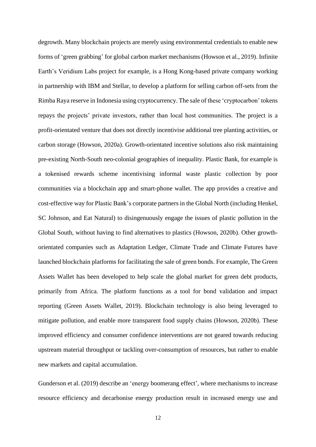degrowth. Many blockchain projects are merely using environmental credentials to enable new forms of 'green grabbing' for global carbon market mechanisms (Howson et al., 2019). Infinite Earth's Veridium Labs project for example, is a Hong Kong-based private company working in partnership with IBM and Stellar, to develop a platform for selling carbon off-sets from the Rimba Raya reserve in Indonesia using cryptocurrency. The sale of these 'cryptocarbon' tokens repays the projects' private investors, rather than local host communities. The project is a profit-orientated venture that does not directly incentivise additional tree planting activities, or carbon storage (Howson, 2020a). Growth-orientated incentive solutions also risk maintaining pre-existing North-South neo-colonial geographies of inequality. Plastic Bank, for example is a tokenised rewards scheme incentivising informal waste plastic collection by poor communities via a blockchain app and smart-phone wallet. The app provides a creative and cost-effective way for Plastic Bank's corporate partners in the Global North (including Henkel, SC Johnson, and Eat Natural) to disingenuously engage the issues of plastic pollution in the Global South, without having to find alternatives to plastics (Howson, 2020b). Other growthorientated companies such as Adaptation Ledger, Climate Trade and Climate Futures have launched blockchain platforms for facilitating the sale of green bonds. For example, The Green Assets Wallet has been developed to help scale the global market for green debt products, primarily from Africa. The platform functions as a tool for bond validation and impact reporting (Green Assets Wallet, 2019). Blockchain technology is also being leveraged to mitigate pollution, and enable more transparent food supply chains (Howson, 2020b). These improved efficiency and consumer confidence interventions are not geared towards reducing upstream material throughput or tackling over-consumption of resources, but rather to enable new markets and capital accumulation.

Gunderson et al. (2019) describe an 'energy boomerang effect', where mechanisms to increase resource efficiency and decarbonise energy production result in increased energy use and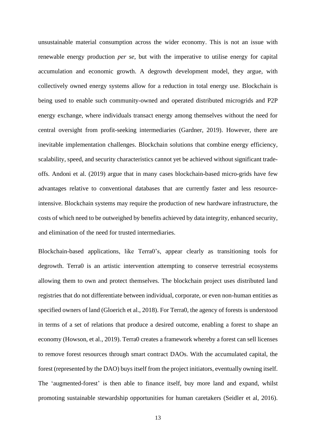unsustainable material consumption across the wider economy. This is not an issue with renewable energy production *per se*, but with the imperative to utilise energy for capital accumulation and economic growth. A degrowth development model, they argue, with collectively owned energy systems allow for a reduction in total energy use. Blockchain is being used to enable such community-owned and operated distributed microgrids and P2P energy exchange, where individuals transact energy among themselves without the need for central oversight from profit-seeking intermediaries (Gardner, 2019). However, there are inevitable implementation challenges. Blockchain solutions that combine energy efficiency, scalability, speed, and security characteristics cannot yet be achieved without significant tradeoffs. Andoni et al. (2019) argue that in many cases blockchain-based micro-grids have few advantages relative to conventional databases that are currently faster and less resourceintensive. Blockchain systems may require the production of new hardware infrastructure, the costs of which need to be outweighed by benefits achieved by data integrity, enhanced security, and elimination of the need for trusted intermediaries.

Blockchain-based applications, like Terra0's, appear clearly as transitioning tools for degrowth. Terra0 is an artistic intervention attempting to conserve terrestrial ecosystems allowing them to own and protect themselves. The blockchain project uses distributed land registries that do not differentiate between individual, corporate, or even non-human entities as specified owners of land (Gloerich et al., 2018). For Terra0, the agency of forests is understood in terms of a set of relations that produce a desired outcome, enabling a forest to shape an economy (Howson, et al., 2019). Terra0 creates a framework whereby a forest can sell licenses to remove forest resources through smart contract DAOs. With the accumulated capital, the forest (represented by the DAO) buys itself from the project initiators, eventually owning itself. The 'augmented-forest' is then able to finance itself, buy more land and expand, whilst promoting sustainable stewardship opportunities for human caretakers (Seidler et al, 2016).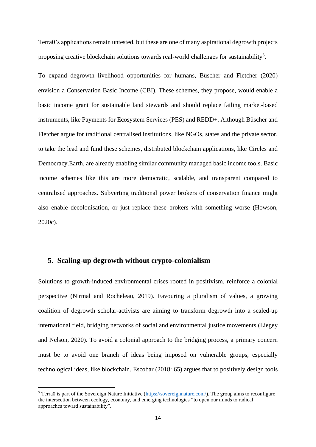Terra0's applications remain untested, but these are one of many aspirational degrowth projects proposing creative blockchain solutions towards real-world challenges for sustainability<sup>5</sup>.

To expand degrowth livelihood opportunities for humans, Büscher and Fletcher (2020) envision a Conservation Basic Income (CBI). These schemes, they propose, would enable a basic income grant for sustainable land stewards and should replace failing market-based instruments, like Payments for Ecosystem Services (PES) and REDD+. Although Büscher and Fletcher argue for traditional centralised institutions, like NGOs, states and the private sector, to take the lead and fund these schemes, distributed blockchain applications, like Circles and Democracy.Earth, are already enabling similar community managed basic income tools. Basic income schemes like this are more democratic, scalable, and transparent compared to centralised approaches. Subverting traditional power brokers of conservation finance might also enable decolonisation, or just replace these brokers with something worse (Howson, 2020c).

# **5. Scaling-up degrowth without crypto-colonialism**

Solutions to growth-induced environmental crises rooted in positivism, reinforce a colonial perspective (Nirmal and Rocheleau, 2019). Favouring a pluralism of values, a growing coalition of degrowth scholar-activists are aiming to transform degrowth into a scaled-up international field, bridging networks of social and environmental justice movements (Liegey and Nelson, 2020). To avoid a colonial approach to the bridging process, a primary concern must be to avoid one branch of ideas being imposed on vulnerable groups, especially technological ideas, like blockchain. Escobar (2018: 65) argues that to positively design tools

<sup>5</sup> Terra0 is part of the Sovereign Nature Initiative [\(https://sovereignnature.com/\)](https://sovereignnature.com/). The group aims to reconfigure the intersection between ecology, economy, and emerging technologies "to open our minds to radical approaches toward sustainability".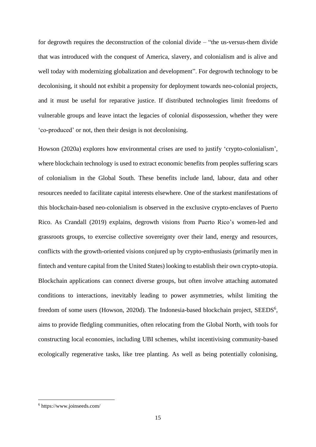for degrowth requires the deconstruction of the colonial divide – "the us-versus-them divide that was introduced with the conquest of America, slavery, and colonialism and is alive and well today with modernizing globalization and development". For degrowth technology to be decolonising, it should not exhibit a propensity for deployment towards neo-colonial projects, and it must be useful for reparative justice. If distributed technologies limit freedoms of vulnerable groups and leave intact the legacies of colonial dispossession, whether they were 'co-produced' or not, then their design is not decolonising.

Howson (2020a) explores how environmental crises are used to justify 'crypto-colonialism', where blockchain technology is used to extract economic benefits from peoples suffering scars of colonialism in the Global South. These benefits include land, labour, data and other resources needed to facilitate capital interests elsewhere. One of the starkest manifestations of this blockchain-based neo-colonialism is observed in the exclusive crypto-enclaves of Puerto Rico. As Crandall (2019) explains, degrowth visions from Puerto Rico's women-led and grassroots groups, to exercise collective sovereignty over their land, energy and resources, conflicts with the growth-oriented visions conjured up by crypto-enthusiasts (primarily men in fintech and venture capital from the United States) looking to establish their own crypto-utopia. Blockchain applications can connect diverse groups, but often involve attaching automated conditions to interactions, inevitably leading to power asymmetries, whilst limiting the freedom of some users (Howson, 2020d). The Indonesia-based blockchain project, SEEDS<sup>6</sup>, aims to provide fledgling communities, often relocating from the Global North, with tools for constructing local economies, including UBI schemes, whilst incentivising community-based ecologically regenerative tasks, like tree planting. As well as being potentially colonising,

<sup>6</sup> https://www.joinseeds.com/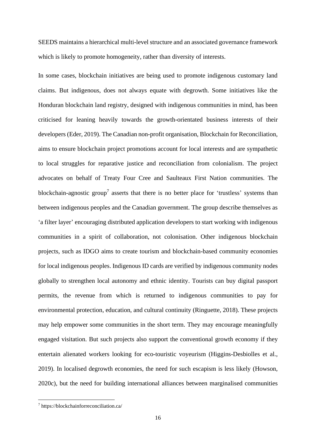SEEDS maintains a hierarchical multi-level structure and an associated governance framework which is likely to promote homogeneity, rather than diversity of interests.

In some cases, blockchain initiatives are being used to promote indigenous customary land claims. But indigenous, does not always equate with degrowth. Some initiatives like the Honduran blockchain land registry, designed with indigenous communities in mind, has been criticised for leaning heavily towards the growth-orientated business interests of their developers (Eder, 2019). The Canadian non-profit organisation, Blockchain for Reconciliation, aims to ensure blockchain project promotions account for local interests and are sympathetic to local struggles for reparative justice and reconciliation from colonialism. The project advocates on behalf of Treaty Four Cree and Saulteaux First Nation communities. The blockchain-agnostic group<sup>7</sup> asserts that there is no better place for 'trustless' systems than between indigenous peoples and the Canadian government. The group describe themselves as 'a filter layer' encouraging distributed application developers to start working with indigenous communities in a spirit of collaboration, not colonisation. Other indigenous blockchain projects, such as IDGO aims to create tourism and blockchain-based community economies for local indigenous peoples. Indigenous ID cards are verified by indigenous community nodes globally to strengthen local autonomy and ethnic identity. Tourists can buy digital passport permits, the revenue from which is returned to indigenous communities to pay for environmental protection, education, and cultural continuity (Ringuette, 2018). These projects may help empower some communities in the short term. They may encourage meaningfully engaged visitation. But such projects also support the conventional growth economy if they entertain alienated workers looking for eco-touristic voyeurism (Higgins-Desbiolles et al., 2019). In localised degrowth economies, the need for such escapism is less likely (Howson, 2020c), but the need for building international alliances between marginalised communities

<sup>7</sup> https://blockchainforreconciliation.ca/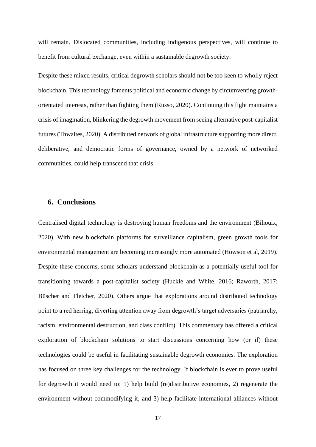will remain. Dislocated communities, including indigenous perspectives, will continue to benefit from cultural exchange, even within a sustainable degrowth society.

Despite these mixed results, critical degrowth scholars should not be too keen to wholly reject blockchain. This technology foments political and economic change by circumventing growthorientated interests, rather than fighting them (Russo, 2020). Continuing this fight maintains a crisis of imagination, blinkering the degrowth movement from seeing alternative post-capitalist futures (Thwaites, 2020). A distributed network of global infrastructure supporting more direct, deliberative, and democratic forms of governance, owned by a network of networked communities, could help transcend that crisis.

### **6. Conclusions**

Centralised digital technology is destroying human freedoms and the environment (Bihouix, 2020). With new blockchain platforms for surveillance capitalism, green growth tools for environmental management are becoming increasingly more automated (Howson et al, 2019). Despite these concerns, some scholars understand blockchain as a potentially useful tool for transitioning towards a post-capitalist society (Huckle and White, 2016; Raworth, 2017; Büscher and Fletcher, 2020). Others argue that explorations around distributed technology point to a red herring, diverting attention away from degrowth's target adversaries (patriarchy, racism, environmental destruction, and class conflict). This commentary has offered a critical exploration of blockchain solutions to start discussions concerning how (or if) these technologies could be useful in facilitating sustainable degrowth economies. The exploration has focused on three key challenges for the technology. If blockchain is ever to prove useful for degrowth it would need to: 1) help build (re)distributive economies, 2) regenerate the environment without commodifying it, and 3) help facilitate international alliances without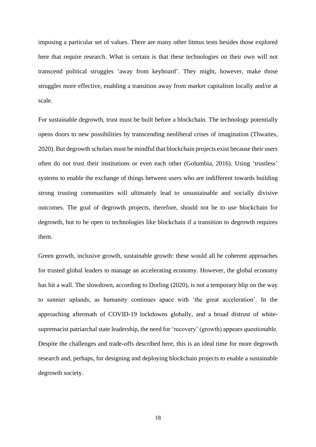imposing a particular set of values. There are many other litmus tests besides those explored here that require research. What is certain is that these technologies on their own will not transcend political struggles 'away from keyboard'. They might, however, make those struggles more effective, enabling a transition away from market capitalism locally and/or at scale.

For sustainable degrowth, trust must be built before a blockchain. The technology potentially opens doors to new possibilities by transcending neoliberal crises of imagination (Thwaites, 2020). But degrowth scholars must be mindful that blockchain projects exist because their users often do not trust their institutions or even each other (Golumbia, 2016). Using 'trustless' systems to enable the exchange of things between users who are indifferent towards building strong trusting communities will ultimately lead to unsustainable and socially divisive outcomes. The goal of degrowth projects, therefore, should not be to use blockchain for degrowth, but to be open to technologies like blockchain if a transition to degrowth requires them.

Green growth, inclusive growth, sustainable growth: these would all be coherent approaches for trusted global leaders to manage an accelerating economy. However, the global economy has hit a wall. The slowdown, according to Dorling (2020), is not a temporary blip on the way to sunnier uplands, as humanity continues apace with 'the great acceleration'. In the approaching aftermath of COVID-19 lockdowns globally, and a broad distrust of whitesupremacist patriarchal state leadership, the need for 'recovery' (growth) appears questionable. Despite the challenges and trade-offs described here, this is an ideal time for more degrowth research and, perhaps, for designing and deploying blockchain projects to enable a sustainable degrowth society.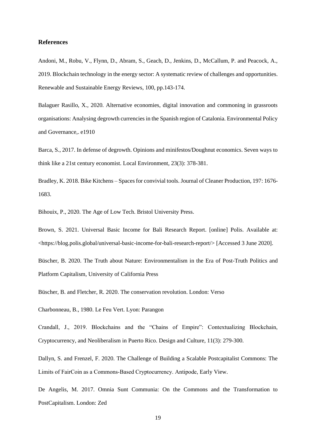#### **References**

Andoni, M., Robu, V., Flynn, D., Abram, S., Geach, D., Jenkins, D., McCallum, P. and Peacock, A., 2019. Blockchain technology in the energy sector: A systematic review of challenges and opportunities. Renewable and Sustainable Energy Reviews, 100, pp.143-174.

Balaguer Rasillo, X., 2020. Alternative economies, digital innovation and commoning in grassroots organisations: Analysing degrowth currencies in the Spanish region of Catalonia. Environmental Policy and Governance,. e1910

Barca, S., 2017. In defense of degrowth. Opinions and minifestos/Doughnut economics. Seven ways to think like a 21st century economist. Local Environment, 23(3): 378-381.

Bradley, K. 2018. Bike Kitchens – Spaces for convivial tools. Journal of Cleaner Production, 197: 1676- 1683.

Bihouix, P., 2020. The Age of Low Tech. Bristol University Press.

Brown, S. 2021. Universal Basic Income for Bali Research Report. [online] Polis. Available at: <https://blog.polis.global/universal-basic-income-for-bali-research-report/> [Accessed 3 June 2020].

Büscher, B. 2020. The Truth about Nature: Environmentalism in the Era of Post-Truth Politics and Platform Capitalism, University of California Press

Büscher, B. and Fletcher, R. 2020. The conservation revolution. London: Verso

Charbonneau, B., 1980. Le Feu Vert. Lyon: Parangon

Crandall, J., 2019. Blockchains and the "Chains of Empire": Contextualizing Blockchain, Cryptocurrency, and Neoliberalism in Puerto Rico. Design and Culture, 11(3): 279-300.

Dallyn, S. and Frenzel, F. 2020. The Challenge of Building a Scalable Postcapitalist Commons: The Limits of FairCoin as a Commons‐Based Cryptocurrency. Antipode, Early View.

De Angelis, M. 2017. Omnia Sunt Communia: On the Commons and the Transformation to PostCapitalism. London: Zed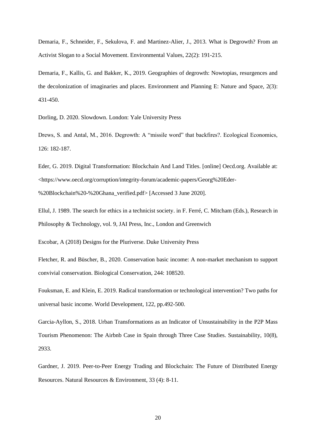Demaria, F., Schneider, F., Sekulova, F. and Martinez-Alier, J., 2013. What is Degrowth? From an Activist Slogan to a Social Movement. Environmental Values, 22(2): 191-215.

Demaria, F., Kallis, G. and Bakker, K., 2019. Geographies of degrowth: Nowtopias, resurgences and the decolonization of imaginaries and places. Environment and Planning E: Nature and Space, 2(3): 431-450.

Dorling, D. 2020. Slowdown. London: Yale University Press

Drews, S. and Antal, M., 2016. Degrowth: A "missile word" that backfires?. Ecological Economics, 126: 182-187.

Eder, G. 2019. Digital Transformation: Blockchain And Land Titles. [online] Oecd.org. Available at: <https://www.oecd.org/corruption/integrity-forum/academic-papers/Georg%20Eder-

%20Blockchain%20-%20Ghana\_verified.pdf> [Accessed 3 June 2020].

Ellul, J. 1989. The search for ethics in a technicist society. in F. Ferré, C. Mitcham (Eds.), Research in Philosophy & Technology, vol. 9, JAI Press, Inc., London and Greenwich

Escobar, A (2018) Designs for the Pluriverse. Duke University Press

Fletcher, R. and Büscher, B., 2020. Conservation basic income: A non-market mechanism to support convivial conservation. Biological Conservation, 244: 108520.

Fouksman, E. and Klein, E. 2019. Radical transformation or technological intervention? Two paths for universal basic income. World Development, 122, pp.492-500.

Garcia-Ayllon, S., 2018. Urban Transformations as an Indicator of Unsustainability in the P2P Mass Tourism Phenomenon: The Airbnb Case in Spain through Three Case Studies. Sustainability, 10(8), 2933.

Gardner, J. 2019. Peer-to-Peer Energy Trading and Blockchain: The Future of Distributed Energy Resources. Natural Resources & Environment, 33 (4): 8-11.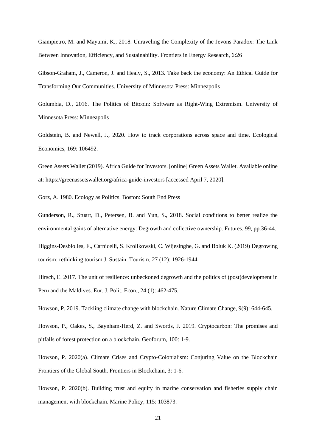Giampietro, M. and Mayumi, K., 2018. Unraveling the Complexity of the Jevons Paradox: The Link Between Innovation, Efficiency, and Sustainability. Frontiers in Energy Research, 6:26

Gibson-Graham, J., Cameron, J. and Healy, S., 2013. Take back the economy: An Ethical Guide for Transforming Our Communities. University of Minnesota Press: Minneapolis

Golumbia, D., 2016. The Politics of Bitcoin: Software as Right-Wing Extremism. University of Minnesota Press: Minneapolis

Goldstein, B. and Newell, J., 2020. How to track corporations across space and time. Ecological Economics, 169: 106492.

Green Assets Wallet (2019). Africa Guide for Investors. [online] Green Assets Wallet. Available online at: https://greenassetswallet.org/africa-guide-investors [accessed April 7, 2020].

Gorz, A. 1980. Ecology as Politics. Boston: South End Press

Gunderson, R., Stuart, D., Petersen, B. and Yun, S., 2018. Social conditions to better realize the environmental gains of alternative energy: Degrowth and collective ownership. Futures, 99, pp.36-44.

Higgins-Desbiolles, F., Carnicelli, S. Krolikowski, C. Wijesinghe, G. and Boluk K. (2019) Degrowing tourism: rethinking tourism J. Sustain. Tourism, 27 (12): 1926-1944

Hirsch, E. 2017. The unit of resilience: unbeckoned degrowth and the politics of (post)development in Peru and the Maldives. Eur. J. Polit. Econ., 24 (1): 462-475.

Howson, P. 2019. Tackling climate change with blockchain. Nature Climate Change, 9(9): 644-645.

Howson, P., Oakes, S., Baynham-Herd, Z. and Swords, J. 2019. Cryptocarbon: The promises and pitfalls of forest protection on a blockchain. Geoforum, 100: 1-9.

Howson, P. 2020(a). Climate Crises and Crypto-Colonialism: Conjuring Value on the Blockchain Frontiers of the Global South. Frontiers in Blockchain, 3: 1-6.

Howson, P. 2020(b). Building trust and equity in marine conservation and fisheries supply chain management with blockchain. Marine Policy, 115: 103873.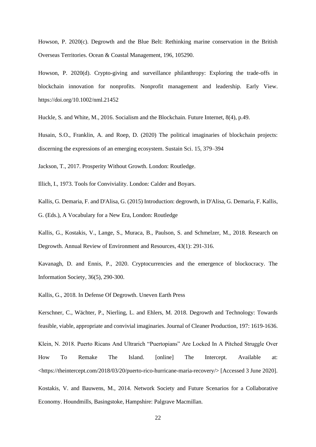Howson, P. 2020(c). Degrowth and the Blue Belt: Rethinking marine conservation in the British Overseas Territories. Ocean & Coastal Management, 196, 105290.

Howson, P. 2020(d). Crypto-giving and surveillance philanthropy: Exploring the trade-offs in blockchain innovation for nonprofits. Nonprofit management and leadership. Early View. https://doi.org/10.1002/nml.21452

Huckle, S. and White, M., 2016. Socialism and the Blockchain. Future Internet, 8(4), p.49.

Husain, S.O., Franklin, A. and Roep, D. (2020) The political imaginaries of blockchain projects: discerning the expressions of an emerging ecosystem. Sustain Sci. 15, 379–394

Jackson, T., 2017. Prosperity Without Growth. London: Routledge.

Illich, I., 1973. Tools for Conviviality. London: Calder and Boyars.

Kallis, G. Demaria, F. and D'Alisa, G. (2015) Introduction: degrowth, in D'Alisa, G. Demaria, F. Kallis, G. (Eds.), A Vocabulary for a New Era, London: Routledge

Kallis, G., Kostakis, V., Lange, S., Muraca, B., Paulson, S. and Schmelzer, M., 2018. Research on Degrowth. Annual Review of Environment and Resources, 43(1): 291-316.

Kavanagh, D. and Ennis, P., 2020. Cryptocurrencies and the emergence of blockocracy. The Information Society, 36(5), 290-300.

Kallis, G., 2018. In Defense Of Degrowth. Uneven Earth Press

Kerschner, C., Wächter, P., Nierling, L. and Ehlers, M. 2018. Degrowth and Technology: Towards feasible, viable, appropriate and convivial imaginaries. Journal of Cleaner Production, 197: 1619-1636.

Klein, N. 2018. Puerto Ricans And Ultrarich "Puertopians" Are Locked In A Pitched Struggle Over How To Remake The Island. [online] The Intercept. Available at: <https://theintercept.com/2018/03/20/puerto-rico-hurricane-maria-recovery/> [Accessed 3 June 2020].

Kostakis, V. and Bauwens, M., 2014. Network Society and Future Scenarios for a Collaborative Economy. Houndmills, Basingstoke, Hampshire: Palgrave Macmillan.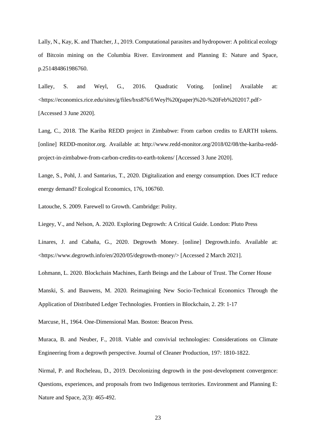Lally, N., Kay, K. and Thatcher, J., 2019. Computational parasites and hydropower: A political ecology of Bitcoin mining on the Columbia River. Environment and Planning E: Nature and Space, p.251484861986760.

Lalley, S. and Weyl, G., 2016. Quadratic Voting. [online] Available at: <https://economics.rice.edu/sites/g/files/bxs876/f/Weyl%20(paper)%20-%20Feb%202017.pdf> [Accessed 3 June 2020].

Lang, C., 2018. The Kariba REDD project in Zimbabwe: From carbon credits to EARTH tokens. [online] REDD-monitor.org. Available at: http://www.redd-monitor.org/2018/02/08/the-kariba-reddproject-in-zimbabwe-from-carbon-credits-to-earth-tokens/ [Accessed 3 June 2020].

Lange, S., Pohl, J. and Santarius, T., 2020. Digitalization and energy consumption. Does ICT reduce energy demand? Ecological Economics, 176, 106760.

Latouche, S. 2009. Farewell to Growth. Cambridge: Polity.

Liegey, V., and Nelson, A. 2020. Exploring Degrowth: A Critical Guide. London: Pluto Press

Linares, J. and Cabaña, G., 2020. Degrowth Money. [online] Degrowth.info. Available at: <https://www.degrowth.info/en/2020/05/degrowth-money/> [Accessed 2 March 2021].

Lohmann, L. 2020. Blockchain Machines, Earth Beings and the Labour of Trust. The Corner House

Manski, S. and Bauwens, M. 2020. Reimagining New Socio-Technical Economics Through the Application of Distributed Ledger Technologies. Frontiers in Blockchain, 2. 29: 1-17

Marcuse, H., 1964. One-Dimensional Man. Boston: Beacon Press.

Muraca, B. and Neuber, F., 2018. Viable and convivial technologies: Considerations on Climate Engineering from a degrowth perspective. Journal of Cleaner Production, 197: 1810-1822.

Nirmal, P. and Rocheleau, D., 2019. Decolonizing degrowth in the post-development convergence: Questions, experiences, and proposals from two Indigenous territories. Environment and Planning E: Nature and Space, 2(3): 465-492.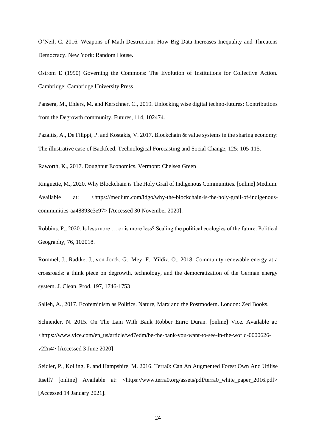O'Neil, C. 2016. Weapons of Math Destruction: How Big Data Increases Inequality and Threatens Democracy. New York: Random House.

Ostrom E (1990) Governing the Commons: The Evolution of Institutions for Collective Action. Cambridge: Cambridge University Press

Pansera, M., Ehlers, M. and Kerschner, C., 2019. Unlocking wise digital techno-futures: Contributions from the Degrowth community. Futures, 114, 102474.

Pazaitis, A., De Filippi, P. and Kostakis, V. 2017. Blockchain & value systems in the sharing economy: The illustrative case of Backfeed. Technological Forecasting and Social Change, 125: 105-115.

Raworth, K., 2017. Doughnut Economics. Vermont: Chelsea Green

Ringuette, M., 2020. Why Blockchain is The Holy Grail of Indigenous Communities. [online] Medium. Available at: <https://medium.com/idgo/why-the-blockchain-is-the-holy-grail-of-indigenouscommunities-aa48893c3e97> [Accessed 30 November 2020].

Robbins, P., 2020. Is less more … or is more less? Scaling the political ecologies of the future. Political Geography, 76, 102018.

Rommel, J., Radtke, J., von Jorck, G., Mey, F., Yildiz, Ö., 2018. Community renewable energy at a crossroads: a think piece on degrowth, technology, and the democratization of the German energy system. J. Clean. Prod. 197, 1746-1753

Salleh, A., 2017. Ecofeminism as Politics. Nature, Marx and the Postmodern. London: Zed Books.

Schneider, N. 2015. On The Lam With Bank Robber Enric Duran. [online] Vice. Available at: <https://www.vice.com/en\_us/article/wd7edm/be-the-bank-you-want-to-see-in-the-world-0000626 v22n4> [Accessed 3 June 2020]

Seidler, P., Kolling, P. and Hampshire, M. 2016. Terra0: Can An Augmented Forest Own And Utilise Itself? [online] Available at: <https://www.terra0.org/assets/pdf/terra0\_white\_paper\_2016.pdf> [Accessed 14 January 2021].